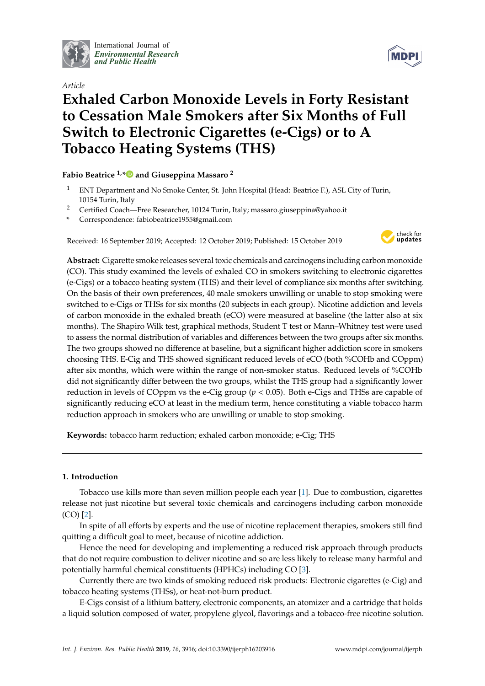

International Journal of *[Environmental Research](http://www.mdpi.com/journal/ijerph) and Public Health*

*Article*



# **Exhaled Carbon Monoxide Levels in Forty Resistant to Cessation Male Smokers after Six Months of Full Switch to Electronic Cigarettes (e-Cigs) or to A Tobacco Heating Systems (THS)**

## **Fabio Beatrice 1,[\\*](https://orcid.org/0000-0002-8679-2525) and Giuseppina Massaro <sup>2</sup>**

- <sup>1</sup> ENT Department and No Smoke Center, St. John Hospital (Head: Beatrice F.), ASL City of Turin, 10154 Turin, Italy
- <sup>2</sup> Certified Coach—Free Researcher, 10124 Turin, Italy; massaro.giuseppina@yahoo.it
- **\*** Correspondence: fabiobeatrice1955@gmail.com

Received: 16 September 2019; Accepted: 12 October 2019; Published: 15 October 2019



**Abstract:** Cigarette smoke releases several toxic chemicals and carcinogens including carbon monoxide (CO). This study examined the levels of exhaled CO in smokers switching to electronic cigarettes (e-Cigs) or a tobacco heating system (THS) and their level of compliance six months after switching. On the basis of their own preferences, 40 male smokers unwilling or unable to stop smoking were switched to e-Cigs or THSs for six months (20 subjects in each group). Nicotine addiction and levels of carbon monoxide in the exhaled breath (eCO) were measured at baseline (the latter also at six months). The Shapiro Wilk test, graphical methods, Student T test or Mann–Whitney test were used to assess the normal distribution of variables and differences between the two groups after six months. The two groups showed no difference at baseline, but a significant higher addiction score in smokers choosing THS. E-Cig and THS showed significant reduced levels of eCO (both %COHb and COppm) after six months, which were within the range of non-smoker status. Reduced levels of %COHb did not significantly differ between the two groups, whilst the THS group had a significantly lower reduction in levels of COppm vs the e-Cig group (*p* < 0.05). Both e-Cigs and THSs are capable of significantly reducing eCO at least in the medium term, hence constituting a viable tobacco harm reduction approach in smokers who are unwilling or unable to stop smoking.

**Keywords:** tobacco harm reduction; exhaled carbon monoxide; e-Cig; THS

## **1. Introduction**

Tobacco use kills more than seven million people each year [\[1\]](#page-4-0). Due to combustion, cigarettes release not just nicotine but several toxic chemicals and carcinogens including carbon monoxide (CO) [\[2\]](#page-4-1).

In spite of all efforts by experts and the use of nicotine replacement therapies, smokers still find quitting a difficult goal to meet, because of nicotine addiction.

Hence the need for developing and implementing a reduced risk approach through products that do not require combustion to deliver nicotine and so are less likely to release many harmful and potentially harmful chemical constituents (HPHCs) including CO [\[3\]](#page-4-2).

Currently there are two kinds of smoking reduced risk products: Electronic cigarettes (e-Cig) and tobacco heating systems (THSs), or heat-not-burn product.

E-Cigs consist of a lithium battery, electronic components, an atomizer and a cartridge that holds a liquid solution composed of water, propylene glycol, flavorings and a tobacco-free nicotine solution.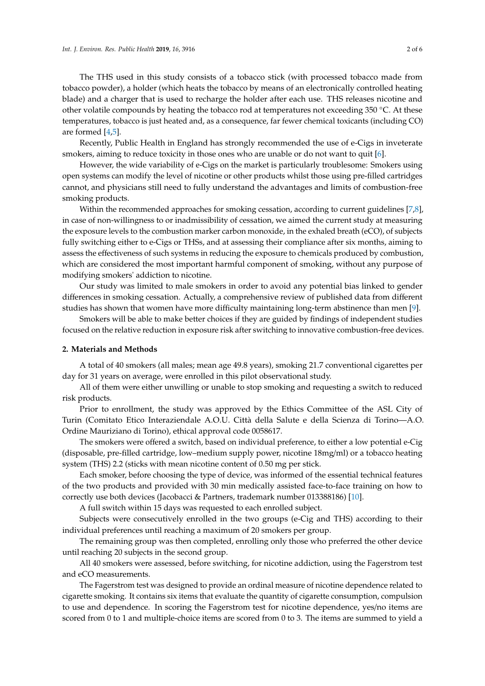The THS used in this study consists of a tobacco stick (with processed tobacco made from tobacco powder), a holder (which heats the tobacco by means of an electronically controlled heating blade) and a charger that is used to recharge the holder after each use. THS releases nicotine and other volatile compounds by heating the tobacco rod at temperatures not exceeding 350 ◦C. At these temperatures, tobacco is just heated and, as a consequence, far fewer chemical toxicants (including CO) are formed [\[4,](#page-4-3)[5\]](#page-4-4).

Recently, Public Health in England has strongly recommended the use of e-Cigs in inveterate smokers, aiming to reduce toxicity in those ones who are unable or do not want to quit [\[6\]](#page-4-5).

However, the wide variability of e-Cigs on the market is particularly troublesome: Smokers using open systems can modify the level of nicotine or other products whilst those using pre-filled cartridges cannot, and physicians still need to fully understand the advantages and limits of combustion-free smoking products.

Within the recommended approaches for smoking cessation, according to current guidelines [\[7](#page-4-6)[,8\]](#page-4-7), in case of non-willingness to or inadmissibility of cessation, we aimed the current study at measuring the exposure levels to the combustion marker carbon monoxide, in the exhaled breath (eCO), of subjects fully switching either to e-Cigs or THSs, and at assessing their compliance after six months, aiming to assess the effectiveness of such systems in reducing the exposure to chemicals produced by combustion, which are considered the most important harmful component of smoking, without any purpose of modifying smokers' addiction to nicotine.

Our study was limited to male smokers in order to avoid any potential bias linked to gender differences in smoking cessation. Actually, a comprehensive review of published data from different studies has shown that women have more difficulty maintaining long-term abstinence than men [\[9\]](#page-4-8).

Smokers will be able to make better choices if they are guided by findings of independent studies focused on the relative reduction in exposure risk after switching to innovative combustion-free devices.

#### **2. Materials and Methods**

A total of 40 smokers (all males; mean age 49.8 years), smoking 21.7 conventional cigarettes per day for 31 years on average, were enrolled in this pilot observational study.

All of them were either unwilling or unable to stop smoking and requesting a switch to reduced risk products.

Prior to enrollment, the study was approved by the Ethics Committee of the ASL City of Turin (Comitato Etico Interaziendale A.O.U. Città della Salute e della Scienza di Torino—A.O. Ordine Mauriziano di Torino), ethical approval code 0058617.

The smokers were offered a switch, based on individual preference, to either a low potential e-Cig (disposable, pre-filled cartridge, low–medium supply power, nicotine 18mg/ml) or a tobacco heating system (THS) 2.2 (sticks with mean nicotine content of 0.50 mg per stick.

Each smoker, before choosing the type of device, was informed of the essential technical features of the two products and provided with 30 min medically assisted face-to-face training on how to correctly use both devices (Jacobacci & Partners, trademark number 013388186) [\[10\]](#page-4-9).

A full switch within 15 days was requested to each enrolled subject.

Subjects were consecutively enrolled in the two groups (e-Cig and THS) according to their individual preferences until reaching a maximum of 20 smokers per group.

The remaining group was then completed, enrolling only those who preferred the other device until reaching 20 subjects in the second group.

All 40 smokers were assessed, before switching, for nicotine addiction, using the Fagerstrom test and eCO measurements.

The Fagerstrom test was designed to provide an ordinal measure of nicotine dependence related to cigarette smoking. It contains six items that evaluate the quantity of cigarette consumption, compulsion to use and dependence. In scoring the Fagerstrom test for nicotine dependence, yes/no items are scored from 0 to 1 and multiple-choice items are scored from 0 to 3. The items are summed to yield a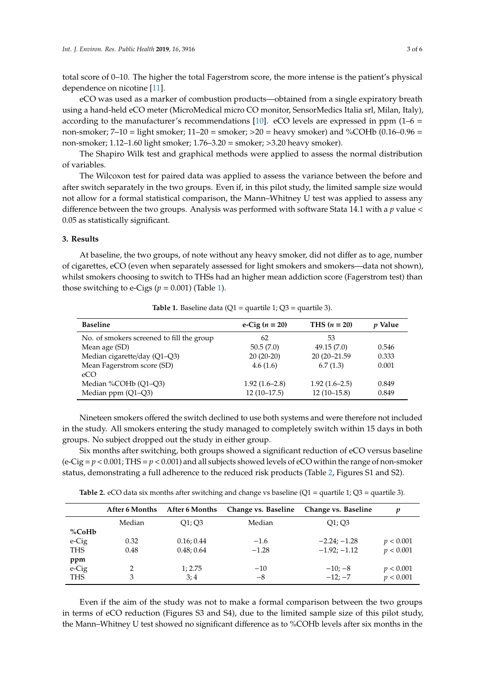total score of 0–10. The higher the total Fagerstrom score, the more intense is the patient's physical dependence on nicotine [\[11\]](#page-5-0).

eCO was used as a marker of combustion products—obtained from a single expiratory breath using a hand-held eCO meter (MicroMedical micro CO monitor, SensorMedics Italia srl, Milan, Italy), according to the manufacturer's recommendations [\[10\]](#page-4-9). eCO levels are expressed in ppm  $(1-6 =$ non-smoker;  $7-10 =$  light smoker;  $11-20 =$  smoker;  $>20 =$  heavy smoker) and %COHb (0.16–0.96 = non-smoker; 1.12–1.60 light smoker; 1.76–3.20 = smoker; >3.20 heavy smoker).

The Shapiro Wilk test and graphical methods were applied to assess the normal distribution of variables.

The Wilcoxon test for paired data was applied to assess the variance between the before and after switch separately in the two groups. Even if, in this pilot study, the limited sample size would not allow for a formal statistical comparison, the Mann–Whitney U test was applied to assess any difference between the two groups. Analysis was performed with software Stata 14.1 with a *p* value < 0.05 as statistically significant.

#### **3. Results**

At baseline, the two groups, of note without any heavy smoker, did not differ as to age, number of cigarettes, eCO (even when separately assessed for light smokers and smokers—data not shown), whilst smokers choosing to switch to THSs had an higher mean addiction score (Fagerstrom test) than those switching to e-Cigs ( $p = 0.001$ ) (Table [1\)](#page-2-0).

<span id="page-2-0"></span>

| <b>Baseline</b>                           | e-Cig $(n = 20)$ | THS $(n = 20)$  | <i>v</i> Value |
|-------------------------------------------|------------------|-----------------|----------------|
| No. of smokers screened to fill the group | 62               | 53              |                |
| Mean age (SD)                             | 50.5(7.0)        | 49.15(7.0)      | 0.546          |
| Median cigarette/day (Q1-Q3)              | $20(20-20)$      | 20 (20 - 21.59) | 0.333          |
| Mean Fagerstrom score (SD)                | 4.6(1.6)         | 6.7(1.3)        | 0.001          |
| eCO                                       |                  |                 |                |
| Median %COHb (Q1-Q3)                      | $1.92(1.6-2.8)$  | $1.92(1.6-2.5)$ | 0.849          |
| Median ppm $(Q1-Q3)$                      | $12(10-17.5)$    | $12(10-15.8)$   | 0.849          |

**Table 1.** Baseline data ( $Q1$  = quartile 1;  $Q3$  = quartile 3).

Nineteen smokers offered the switch declined to use both systems and were therefore not included in the study. All smokers entering the study managed to completely switch within 15 days in both groups. No subject dropped out the study in either group.

Six months after switching, both groups showed a significant reduction of eCO versus baseline  $(e-Cig = p < 0.001$ ; THS =  $p < 0.001$ ) and all subjects showed levels of eCO within the range of non-smoker status, demonstrating a full adherence to the reduced risk products (Table [2,](#page-2-1) Figures S1 and S2).

<span id="page-2-1"></span>**Table 2.** eCO data six months after switching and change vs baseline ( $Q1$  = quartile 1;  $Q3$  = quartile 3).

|            | After 6 Months | After 6 Months | Change vs. Baseline | Change vs. Baseline | p         |
|------------|----------------|----------------|---------------------|---------------------|-----------|
|            | Median         | $O1$ ; $O3$    | Median              | $O1$ ; $O3$         |           |
| %CoHb      |                |                |                     |                     |           |
| e-Cig      | 0.32           | 0.16; 0.44     | $-1.6$              | $-2.24; -1.28$      | p < 0.001 |
| <b>THS</b> | 0.48           | 0.48; 0.64     | $-1.28$             | $-1.92: -1.12$      | p < 0.001 |
| ppm        |                |                |                     |                     |           |
| e-Cig      | 2              | 1:2.75         | $-10$               | $-10; -8$           | p < 0.001 |
| <b>THS</b> | 3              | 3:4            | $-8$                | $-12: -7$           | p < 0.001 |

Even if the aim of the study was not to make a formal comparison between the two groups in terms of eCO reduction (Figures S3 and S4), due to the limited sample size of this pilot study, the Mann–Whitney U test showed no significant difference as to %COHb levels after six months in the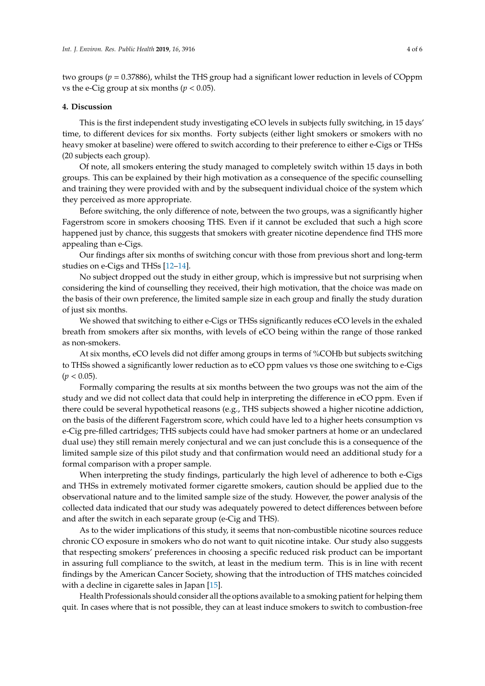two groups (*p* = 0.37886), whilst the THS group had a significant lower reduction in levels of COppm vs the e-Cig group at six months ( $p < 0.05$ ).

#### **4. Discussion**

This is the first independent study investigating eCO levels in subjects fully switching, in 15 days' time, to different devices for six months. Forty subjects (either light smokers or smokers with no heavy smoker at baseline) were offered to switch according to their preference to either e-Cigs or THSs (20 subjects each group).

Of note, all smokers entering the study managed to completely switch within 15 days in both groups. This can be explained by their high motivation as a consequence of the specific counselling and training they were provided with and by the subsequent individual choice of the system which they perceived as more appropriate.

Before switching, the only difference of note, between the two groups, was a significantly higher Fagerstrom score in smokers choosing THS. Even if it cannot be excluded that such a high score happened just by chance, this suggests that smokers with greater nicotine dependence find THS more appealing than e-Cigs.

Our findings after six months of switching concur with those from previous short and long-term studies on e-Cigs and THSs [\[12](#page-5-1)[–14\]](#page-5-2).

No subject dropped out the study in either group, which is impressive but not surprising when considering the kind of counselling they received, their high motivation, that the choice was made on the basis of their own preference, the limited sample size in each group and finally the study duration of just six months.

We showed that switching to either e-Cigs or THSs significantly reduces eCO levels in the exhaled breath from smokers after six months, with levels of eCO being within the range of those ranked as non-smokers.

At six months, eCO levels did not differ among groups in terms of %COHb but subjects switching to THSs showed a significantly lower reduction as to eCO ppm values vs those one switching to e-Cigs  $(p < 0.05)$ .

Formally comparing the results at six months between the two groups was not the aim of the study and we did not collect data that could help in interpreting the difference in eCO ppm. Even if there could be several hypothetical reasons (e.g., THS subjects showed a higher nicotine addiction, on the basis of the different Fagerstrom score, which could have led to a higher heets consumption vs e-Cig pre-filled cartridges; THS subjects could have had smoker partners at home or an undeclared dual use) they still remain merely conjectural and we can just conclude this is a consequence of the limited sample size of this pilot study and that confirmation would need an additional study for a formal comparison with a proper sample.

When interpreting the study findings, particularly the high level of adherence to both e-Cigs and THSs in extremely motivated former cigarette smokers, caution should be applied due to the observational nature and to the limited sample size of the study. However, the power analysis of the collected data indicated that our study was adequately powered to detect differences between before and after the switch in each separate group (e-Cig and THS).

As to the wider implications of this study, it seems that non-combustible nicotine sources reduce chronic CO exposure in smokers who do not want to quit nicotine intake. Our study also suggests that respecting smokers' preferences in choosing a specific reduced risk product can be important in assuring full compliance to the switch, at least in the medium term. This is in line with recent findings by the American Cancer Society, showing that the introduction of THS matches coincided with a decline in cigarette sales in Japan [\[15\]](#page-5-3).

Health Professionals should consider all the options available to a smoking patient for helping them quit. In cases where that is not possible, they can at least induce smokers to switch to combustion-free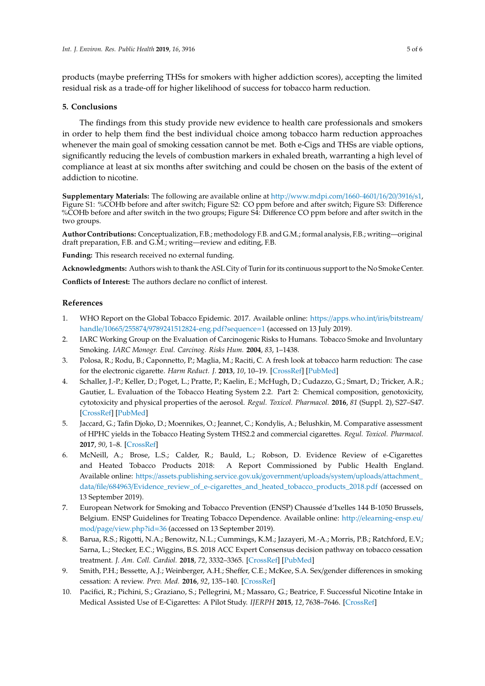products (maybe preferring THSs for smokers with higher addiction scores), accepting the limited residual risk as a trade-off for higher likelihood of success for tobacco harm reduction.

#### **5. Conclusions**

The findings from this study provide new evidence to health care professionals and smokers in order to help them find the best individual choice among tobacco harm reduction approaches whenever the main goal of smoking cessation cannot be met. Both e-Cigs and THSs are viable options, significantly reducing the levels of combustion markers in exhaled breath, warranting a high level of compliance at least at six months after switching and could be chosen on the basis of the extent of addiction to nicotine.

**Supplementary Materials:** The following are available online at http://[www.mdpi.com](http://www.mdpi.com/1660-4601/16/20/3916/s1)/1660-4601/16/20/3916/s1, Figure S1: %COHb before and after switch; Figure S2: CO ppm before and after switch; Figure S3: Difference %COHb before and after switch in the two groups; Figure S4: Difference CO ppm before and after switch in the two groups.

**Author Contributions:** Conceptualization, F.B.; methodology F.B. and G.M.; formal analysis, F.B.; writing—original draft preparation, F.B. and G.M.; writing—review and editing, F.B.

**Funding:** This research received no external funding.

**Acknowledgments:** Authors wish to thank the ASL City of Turin for its continuous support to the No Smoke Center.

**Conflicts of Interest:** The authors declare no conflict of interest.

### **References**

- <span id="page-4-0"></span>1. WHO Report on the Global Tobacco Epidemic. 2017. Available online: https://[apps.who.int](https://apps.who.int/iris/bitstream/handle/10665/255874/9789241512824-eng.pdf?sequence=1)/iris/bitstream/ handle/10665/255874/[9789241512824-eng.pdf?sequence](https://apps.who.int/iris/bitstream/handle/10665/255874/9789241512824-eng.pdf?sequence=1)=1 (accessed on 13 July 2019).
- <span id="page-4-1"></span>2. IARC Working Group on the Evaluation of Carcinogenic Risks to Humans. Tobacco Smoke and Involuntary Smoking. *IARC Monogr. Eval. Carcinog. Risks Hum.* **2004**, *83*, 1–1438.
- <span id="page-4-2"></span>3. Polosa, R.; Rodu, B.; Caponnetto, P.; Maglia, M.; Raciti, C. A fresh look at tobacco harm reduction: The case for the electronic cigarette. *Harm Reduct. J.* **2013**, *10*, 10–19. [\[CrossRef\]](http://dx.doi.org/10.1186/1477-7517-10-19) [\[PubMed\]](http://www.ncbi.nlm.nih.gov/pubmed/24090432)
- <span id="page-4-3"></span>4. Schaller, J.-P.; Keller, D.; Poget, L.; Pratte, P.; Kaelin, E.; McHugh, D.; Cudazzo, G.; Smart, D.; Tricker, A.R.; Gautier, L. Evaluation of the Tobacco Heating System 2.2. Part 2: Chemical composition, genotoxicity, cytotoxicity and physical properties of the aerosol. *Regul. Toxicol. Pharmacol.* **2016**, *81* (Suppl. 2), S27–S47. [\[CrossRef\]](http://dx.doi.org/10.1016/j.yrtph.2016.10.001) [\[PubMed\]](http://www.ncbi.nlm.nih.gov/pubmed/27720919)
- <span id="page-4-4"></span>5. Jaccard, G.; Tafin Djoko, D.; Moennikes, O.; Jeannet, C.; Kondylis, A.; Belushkin, M. Comparative assessment of HPHC yields in the Tobacco Heating System THS2.2 and commercial cigarettes. *Regul. Toxicol. Pharmacol.* **2017**, *90*, 1–8. [\[CrossRef\]](http://dx.doi.org/10.1016/j.yrtph.2017.08.006)
- <span id="page-4-5"></span>6. McNeill, A.; Brose, L.S.; Calder, R.; Bauld, L.; Robson, D. Evidence Review of e-Cigarettes and Heated Tobacco Products 2018: A Report Commissioned by Public Health England. Available online: https://[assets.publishing.service.gov.uk](https://assets.publishing.service.gov.uk/government/uploads/system/uploads/attachment_data/file/684963/Evidence_review_of_e-cigarettes_and_heated_tobacco_products_2018.pdf)/government/uploads/system/uploads/attachment\_ data/file/684963/[Evidence\\_review\\_of\\_e-cigarettes\\_and\\_heated\\_tobacco\\_products\\_2018.pdf](https://assets.publishing.service.gov.uk/government/uploads/system/uploads/attachment_data/file/684963/Evidence_review_of_e-cigarettes_and_heated_tobacco_products_2018.pdf) (accessed on 13 September 2019).
- <span id="page-4-6"></span>7. European Network for Smoking and Tobacco Prevention (ENSP) Chaussée d'Ixelles 144 B-1050 Brussels, Belgium. ENSP Guidelines for Treating Tobacco Dependence. Available online: http://[elearning-ensp.eu](http://elearning-ensp.eu/mod/page/view.php?id=36)/ mod/page/[view.php?id](http://elearning-ensp.eu/mod/page/view.php?id=36)=36 (accessed on 13 September 2019).
- <span id="page-4-7"></span>8. Barua, R.S.; Rigotti, N.A.; Benowitz, N.L.; Cummings, K.M.; Jazayeri, M.-A.; Morris, P.B.; Ratchford, E.V.; Sarna, L.; Stecker, E.C.; Wiggins, B.S. 2018 ACC Expert Consensus decision pathway on tobacco cessation treatment. *J. Am. Coll. Cardiol.* **2018**, *72*, 3332–3365. [\[CrossRef\]](http://dx.doi.org/10.1016/j.jacc.2018.10.027) [\[PubMed\]](http://www.ncbi.nlm.nih.gov/pubmed/30527452)
- <span id="page-4-8"></span>9. Smith, P.H.; Bessette, A.J.; Weinberger, A.H.; Sheffer, C.E.; McKee, S.A. Sex/gender differences in smoking cessation: A review. *Prev. Med.* **2016**, *92*, 135–140. [\[CrossRef\]](http://dx.doi.org/10.1016/j.ypmed.2016.07.013)
- <span id="page-4-9"></span>10. Pacifici, R.; Pichini, S.; Graziano, S.; Pellegrini, M.; Massaro, G.; Beatrice, F. Successful Nicotine Intake in Medical Assisted Use of E-Cigarettes: A Pilot Study. *IJERPH* **2015**, *12*, 7638–7646. [\[CrossRef\]](http://dx.doi.org/10.3390/ijerph120707638)